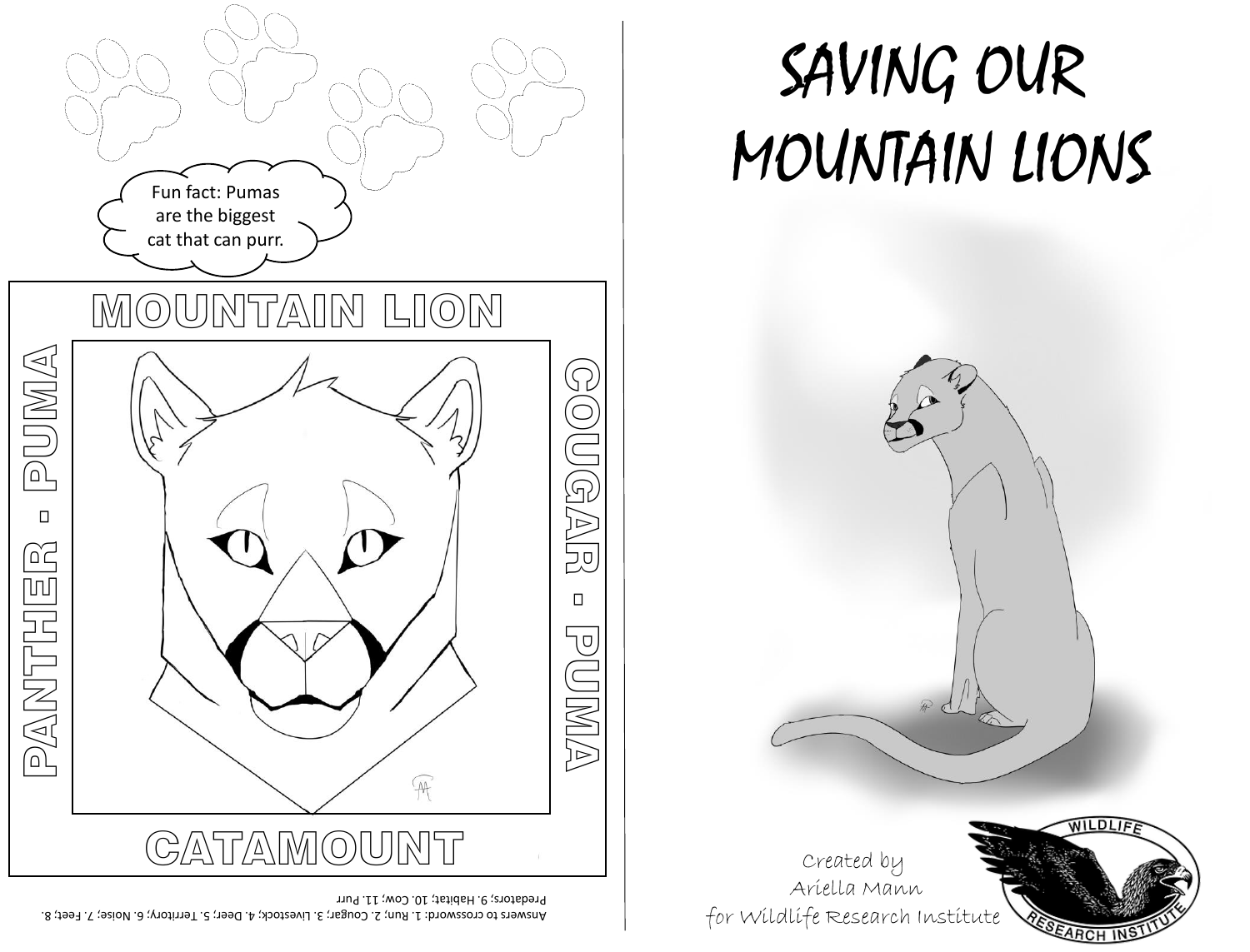

## SAVING OUR MOUNTAIN LIONS



Answers to crossword: 1. Run; 2. Cougar; 3. Livestock; 4. Deer; 5. Territory; 6. Noise; 7. Feet; 8. Predators; 9. Habitat; 10. Cow; 11. Purr